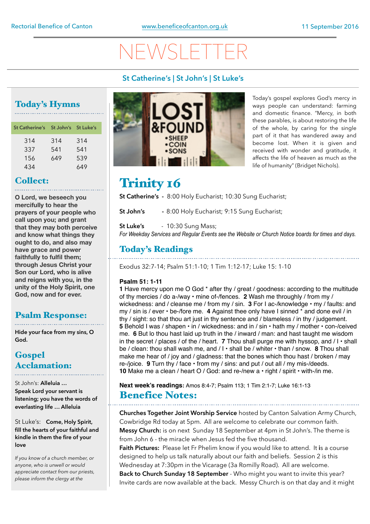# $\sqrt{2}$

#### **St Catherine's | St John's | St Luke's**

# Today's Hymns

| St Catherine's St John's St Luke's |     |     |
|------------------------------------|-----|-----|
| 314                                | 314 | 314 |
| 337                                | 541 | 541 |
| 156                                | 649 | 539 |
| 434                                |     | 649 |

#### Collect:

**O Lord, we beseech you mercifully to hear the prayers of your people who call upon you; and grant that they may both perceive and know what things they ought to do, and also may have grace and power faithfully to fulfil them; through Jesus Christ your Son our Lord, who is alive and reigns with you, in the unity of the Holy Spirit, one God, now and for ever.**

#### Psalm Response:

**Hide your face from my sins, O God.**

#### **Gospel** Acclamation:

St John's: **Alleluia … Speak Lord your servant is listening; you have the words of everlasting life … Alleluia** 

#### St Luke's: **Come, Holy Spirit, fill the hearts of your faithful and kindle in them the fire of your love**

*If you know of a church member, or anyone, who is unwell or would appreciate contact from our priests, please inform the clergy at the* 



Today's gospel explores God's mercy in ways people can understand: farming and domestic finance. "Mercy, in both these parables, is about restoring the life of the whole, by caring for the single part of it that has wandered away and become lost. When it is given and received with wonder and gratitude, it affects the life of heaven as much as the life of humanity" (Bridget Nichols).

## Trinity 16

**St Catherine's -** 8:00 Holy Eucharist; 10:30 Sung Eucharist;

**St John's -** 8:00 Holy Eucharist; 9:15 Sung Eucharist;

**St Luke's** - 10:30 Sung Mass;

*For Weekday Services and Regular Events see the Website or Church Notice boards for times and days.* 

#### Today's Readings

Exodus 32:7-14; Psalm 51:1-10; 1 Tim 1:12-17; Luke 15: 1-10

#### **Psalm 51: 1-11**

**1** Have mercy upon me O God \* after thy / great / goodness: according to the multitude of thy mercies / do a-/way • mine of-/fences. **2** Wash me throughly / from my / wickedness: and / cleanse me / from my / sin. **3** For I ac-/knowledge • my / faults: and my / sin is / ever • be-/fore me. **4** Against thee only have I sinned \* and done evil / in thy / sight: so that thou art just in thy sentence and / blameless / in thy / judgement. **5** Behold I was / shapen • in / wickedness: and in / sin • hath my / mother • con-/ceived me. **6** But lo thou hast laid up truth in the / inward / man: and hast taught me wisdom in the secret / places / of the / heart. **7** Thou shall purge me with hyssop, and / I • shall be / clean: thou shall wash me, and / I • shall be / whiter • than / snow. **8** Thou shall make me hear of / joy and / gladness: that the bones which thou hast / broken / may re-/joice. **9** Turn thy / face • from my / sins: and put / out all / my mis-/deeds. **10** Make me a clean / heart O / God: and re-/new a • right / spirit • with-/in me.

**Next week's readings:** Amos 8:4-7; Psalm 113; 1 Tim 2:1-7; Luke 16:1-13 Benefice Notes:

**Churches Together Joint Worship Service** hosted by Canton Salvation Army Church, Cowbridge Rd today at 5pm. All are welcome to celebrate our common faith. **Messy Church:** is on next Sunday 18 September at 4pm in St John's. The theme is from John 6 - the miracle when Jesus fed the five thousand.

**Faith Pictures:** Please let Fr Phelim know if you would like to attend. It **i**s a course designed to help us talk naturally about our faith and beliefs. Session 2 is this Wednesday at 7:30pm in the Vicarage (3a Romilly Road). All are welcome.

**Back to Church Sunday 18 September** - Who might you want to invite this year? Invite cards are now available at the back. Messy Church is on that day and it might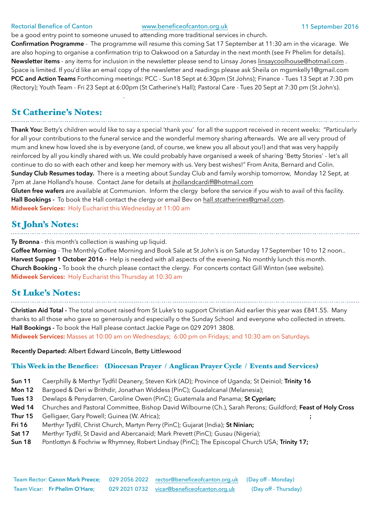#### Rectorial Benefice of Canton [www.beneficeofcanton.org.uk](http://www.beneficeofcanton.org.uk) 11 September 2016

be a good entry point to someone unused to attending more traditional services in church.

**Confirmation Programme** - The programme will resume this coming Sat 17 September at 11:30 am in the vicarage. We are also hoping to organise a confirmation trip to Oakwood on a Saturday in the next month (see Fr Phelim for details). **Newsletter items** - any items for inclusion in the newsletter please send to Linsay Jones [linsaycoolhouse@hotmail.com](mailto:linsaycoolhouse@hotmail.com) . Space is limited. If you'd like an email copy of the newsletter and readings please ask Sheila on [mgsmkelly1@gmail.com](mailto:mgsmkelly1@gmail.com)  **PCC and Action Teams** Forthcoming meetings: PCC - Sun18 Sept at 6:30pm (St Johns); Finance - Tues 13 Sept at 7:30 pm (Rectory); Youth Team - Fri 23 Sept at 6:00pm (St Catherine's Hall); Pastoral Care - Tues 20 Sept at 7:30 pm (St John's).

#### St Catherine's Notes:

**.** The contract of the contract of the contract of the contract of

**Thank You:** Betty's children would like to say a special 'thank you' for all the support received in recent weeks: "Particularly for all your contributions to the funeral service and the wonderful memory sharing afterwards. We are all very proud of mum and knew how loved she is by everyone (and, of course, we knew you all about you!) and that was very happily reinforced by all you kindly shared with us. We could probably have organised a week of sharing 'Betty Stories' - let's all continue to do so with each other and keep her memory with us. Very best wishes!" From Anita, Bernard and Colin. **Sunday Club Resumes today.** There is a meeting about Sunday Club and family worship tomorrow, Monday 12 Sept, at 7pm at Jane Holland's house. Contact Jane for details at [jhollandcardiff@hotmail.com](mailto:jhollandcardiff@hotmail.com)

**Gluten free wafers** are available at Communion. Inform the clergy before the service if you wish to avail of this facility. **Hall Bookings -** To book the Hall contact the clergy or email Bev on [hall.stcatherines@gmail.com](mailto:hall.stcatherines@gmail.com). **Midweek Services:** Holy Eucharist this Wednesday at 11:00 am

#### St John's Notes:

**Ty Bronna** - this month's collection is washing up liquid.

**Coffee Morning** - The Monthly Coffee Morning and Book Sale at St John's is on Saturday 17 September 10 to 12 noon.. **Harvest Supper 1 October 2016 -** Help is needed with all aspects of the evening. No monthly lunch this month. **Church Booking -** To book the church please contact the clergy. For concerts contact Gill Winton (see website). **Midweek Services:** Holy Eucharist this Thursday at 10:30 am

#### St Luke's Notes:

**Christian Aid Total -** The total amount raised from St Luke's to support Christian Aid earlier this year was £841.55. Many thanks to all those who gave so generously and especially o the Sunday School and everyone who collected in streets. **Hall Bookings -** To book the Hall please contact Jackie Page on 029 2091 3808.

**Midweek Services:** Masses at 10:00 am on Wednesdays; 6:00 pm on Fridays; and 10:30 am on Saturdays.

#### **Recently Departed:** Albert Edward Lincoln, Betty Littlewood

#### This Week in the Benefice: (Diocesan Prayer / Anglican Prayer Cycle / Events and Services)

- **Sun 11** Caerphilly & Merthyr Tydfil Deanery, Steven Kirk (AD); Province of Uganda; St Deiniol; **Trinity 16**
- **Mon 12** Bargoed & Deri w Brithdir, Jonathan Widdess (PinC); Guadalcanal (Melanesia);
- **Tues 13** Dewlaps & Penydarren, Caroline Owen (PinC); Guatemala and Panama; **St Cyprian;**
- **Wed 14** Churches and Pastoral Committee, Bishop David Wilbourne (Ch.), Sarah Perons; Guildford; **Feast of Holy Cross**
- **Thur 15** Gelligaer, Gary Powell; Guinea (W. Africa); **;**
- **Fri 16** Merthyr Tydfil, Christ Church, Martyn Perry (PinC); Gujarat (India); **St Ninian;**
- **Sat 17** Merthyr Tydfil, St David and Abercanaid; Mark Prevett (PinC); Gusau (Nigeria);
- **Sun 18** Pontlottyn & Fochriw w Rhymney, Robert Lindsay (PinC); The Episcopal Church USA; **Trinity 17;**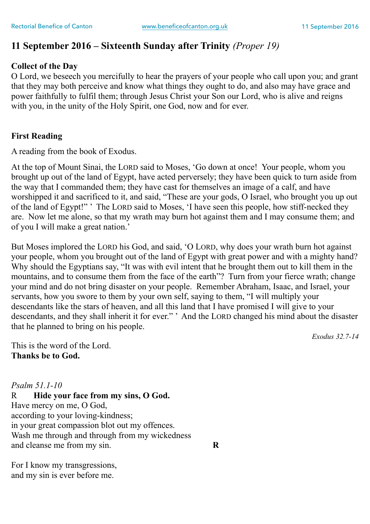### **11 September 2016 – Sixteenth Sunday after Trinity** *(Proper 19)*

#### **Collect of the Day**

O Lord, we beseech you mercifully to hear the prayers of your people who call upon you; and grant that they may both perceive and know what things they ought to do, and also may have grace and power faithfully to fulfil them; through Jesus Christ your Son our Lord, who is alive and reigns with you, in the unity of the Holy Spirit, one God, now and for ever.

#### **First Reading**

A reading from the book of Exodus.

At the top of Mount Sinai, the LORD said to Moses, 'Go down at once! Your people, whom you brought up out of the land of Egypt, have acted perversely; they have been quick to turn aside from the way that I commanded them; they have cast for themselves an image of a calf, and have worshipped it and sacrificed to it, and said, "These are your gods, O Israel, who brought you up out of the land of Egypt!" ' The LORD said to Moses, 'I have seen this people, how stiff-necked they are. Now let me alone, so that my wrath may burn hot against them and I may consume them; and of you I will make a great nation.'

But Moses implored the LORD his God, and said, 'O LORD, why does your wrath burn hot against your people, whom you brought out of the land of Egypt with great power and with a mighty hand? Why should the Egyptians say, "It was with evil intent that he brought them out to kill them in the mountains, and to consume them from the face of the earth"? Turn from your fierce wrath; change your mind and do not bring disaster on your people. Remember Abraham, Isaac, and Israel, your servants, how you swore to them by your own self, saying to them, "I will multiply your descendants like the stars of heaven, and all this land that I have promised I will give to your descendants, and they shall inherit it for ever." ' And the LORD changed his mind about the disaster that he planned to bring on his people.

*Exodus 32.7-14* 

This is the word of the Lord. **Thanks be to God.**

*Psalm 51.1-10*  R **Hide your face from my sins, O God.**  Have mercy on me, O God, according to your loving-kindness; in your great compassion blot out my offences. Wash me through and through from my wickedness and cleanse me from my sin. **R** 

For I know my transgressions, and my sin is ever before me.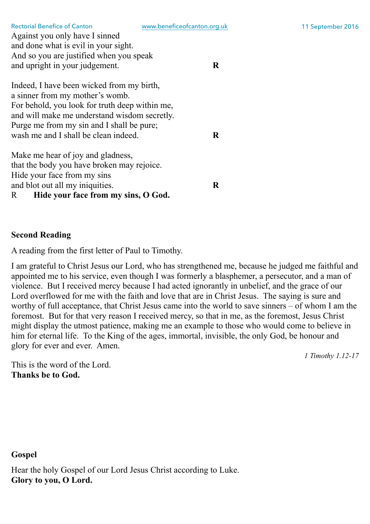|                                                | www.cheneeorean.com.org. |
|------------------------------------------------|--------------------------|
| Against you only have I sinned                 |                          |
| and done what is evil in your sight.           |                          |
| And so you are justified when you speak        |                          |
| and upright in your judgement.                 | R                        |
|                                                |                          |
| Indeed, I have been wicked from my birth,      |                          |
| a sinner from my mother's womb.                |                          |
| For behold, you look for truth deep within me, |                          |
| and will make me understand wisdom secretly.   |                          |
| Purge me from my sin and I shall be pure;      |                          |
| wash me and I shall be clean indeed.           | R                        |
|                                                |                          |
| Make me hear of joy and gladness,              |                          |
| that the body you have broken may rejoice.     |                          |
| Hide your face from my sins                    |                          |
| and blot out all my iniquities.                | R                        |
| Hide your face from my sins, O God.<br>R       |                          |
|                                                |                          |

#### **Second Reading**

A reading from the first letter of Paul to Timothy.

I am grateful to Christ Jesus our Lord, who has strengthened me, because he judged me faithful and appointed me to his service, even though I was formerly a blasphemer, a persecutor, and a man of violence. But I received mercy because I had acted ignorantly in unbelief, and the grace of our Lord overflowed for me with the faith and love that are in Christ Jesus. The saying is sure and worthy of full acceptance, that Christ Jesus came into the world to save sinners – of whom I am the foremost. But for that very reason I received mercy, so that in me, as the foremost, Jesus Christ might display the utmost patience, making me an example to those who would come to believe in him for eternal life. To the King of the ages, immortal, invisible, the only God, be honour and glory for ever and ever. Amen.

*1 Timothy 1.12-17* 

This is the word of the Lord. **Thanks be to God.**

#### **Gospel**

Hear the holy Gospel of our Lord Jesus Christ according to Luke. **Glory to you, O Lord.**